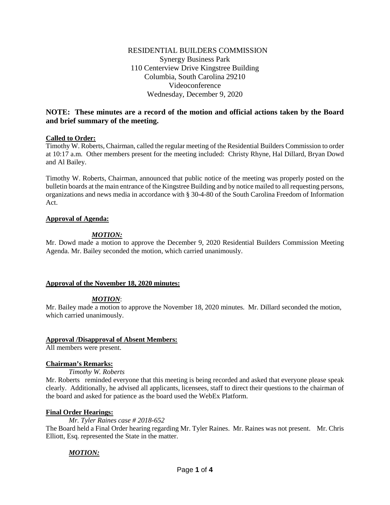# **NOTE: These minutes are a record of the motion and official actions taken by the Board and brief summary of the meeting.**

## **Called to Order:**

Timothy W. Roberts, Chairman, called the regular meeting of the Residential Builders Commission to order at 10:17 a.m. Other members present for the meeting included: Christy Rhyne, Hal Dillard, Bryan Dowd and Al Bailey.

Timothy W. Roberts, Chairman, announced that public notice of the meeting was properly posted on the bulletin boards at the main entrance of the Kingstree Building and by notice mailed to all requesting persons, organizations and news media in accordance with § 30-4-80 of the South Carolina Freedom of Information Act.

## **Approval of Agenda:**

# *MOTION:*

Mr. Dowd made a motion to approve the December 9, 2020 Residential Builders Commission Meeting Agenda. Mr. Bailey seconded the motion, which carried unanimously.

## **Approval of the November 18, 2020 minutes:**

## *MOTION*:

Mr. Bailey made a motion to approve the November 18, 2020 minutes. Mr. Dillard seconded the motion, which carried unanimously.

## **Approval /Disapproval of Absent Members:**

All members were present.

## **Chairman's Remarks:**

## *Timothy W. Roberts*

Mr. Roberts reminded everyone that this meeting is being recorded and asked that everyone please speak clearly. Additionally, he advised all applicants, licensees, staff to direct their questions to the chairman of the board and asked for patience as the board used the WebEx Platform.

## **Final Order Hearings:**

*Mr. Tyler Raines case # 2018-652*

The Board held a Final Order hearing regarding Mr. Tyler Raines. Mr. Raines was not present. Mr. Chris Elliott, Esq. represented the State in the matter.

## *MOTION:*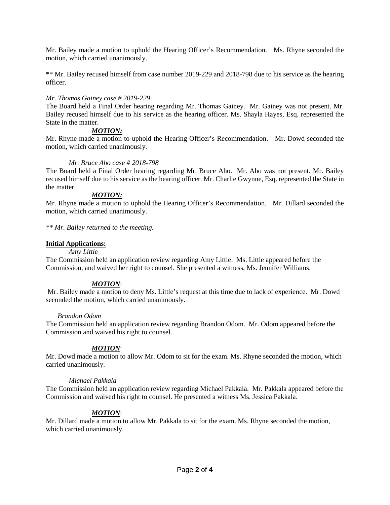Mr. Bailey made a motion to uphold the Hearing Officer's Recommendation. Ms. Rhyne seconded the motion, which carried unanimously.

\*\* Mr. Bailey recused himself from case number 2019-229 and 2018-798 due to his service as the hearing officer.

## *Mr. Thomas Gainey case # 2019-229*

The Board held a Final Order hearing regarding Mr. Thomas Gainey. Mr. Gainey was not present. Mr. Bailey recused himself due to his service as the hearing officer. Ms. Shayla Hayes, Esq. represented the State in the matter.

# *MOTION:*

Mr. Rhyne made a motion to uphold the Hearing Officer's Recommendation. Mr. Dowd seconded the motion, which carried unanimously.

## *Mr. Bruce Aho case # 2018-798*

The Board held a Final Order hearing regarding Mr. Bruce Aho. Mr. Aho was not present. Mr. Bailey recused himself due to his service as the hearing officer. Mr. Charlie Gwynne, Esq. represented the State in the matter.

## *MOTION:*

Mr. Rhyne made a motion to uphold the Hearing Officer's Recommendation. Mr. Dillard seconded the motion, which carried unanimously.

*\*\* Mr. Bailey returned to the meeting.*

## **Initial Applications:**

## *Amy Little*

The Commission held an application review regarding Amy Little. Ms. Little appeared before the Commission, and waived her right to counsel. She presented a witness, Ms. Jennifer Williams.

## *MOTION*:

Mr. Bailey made a motion to deny Ms. Little's request at this time due to lack of experience. Mr. Dowd seconded the motion, which carried unanimously.

## *Brandon Odom*

The Commission held an application review regarding Brandon Odom. Mr. Odom appeared before the Commission and waived his right to counsel.

## *MOTION*:

Mr. Dowd made a motion to allow Mr. Odom to sit for the exam. Ms. Rhyne seconded the motion, which carried unanimously.

## *Michael Pakkala*

The Commission held an application review regarding Michael Pakkala. Mr. Pakkala appeared before the Commission and waived his right to counsel. He presented a witness Ms. Jessica Pakkala.

## *MOTION*:

Mr. Dillard made a motion to allow Mr. Pakkala to sit for the exam. Ms. Rhyne seconded the motion, which carried unanimously.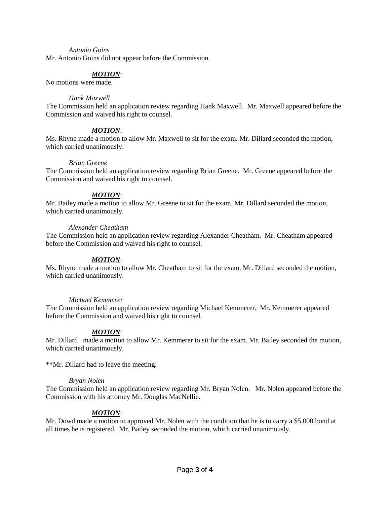#### *Antonio Goins*

Mr. Antonio Goins did not appear before the Commission.

## *MOTION*:

No motions were made.

### *Hank Maxwell*

The Commission held an application review regarding Hank Maxwell. Mr. Maxwell appeared before the Commission and waived his right to counsel.

## *MOTION*:

Ms. Rhyne made a motion to allow Mr. Maxwell to sit for the exam. Mr. Dillard seconded the motion, which carried unanimously.

#### *Brian Greene*

The Commission held an application review regarding Brian Greene. Mr. Greene appeared before the Commission and waived his right to counsel.

## *MOTION*:

Mr. Bailey made a motion to allow Mr. Greene to sit for the exam. Mr. Dillard seconded the motion, which carried unanimously.

#### *Alexander Cheatham*

The Commission held an application review regarding Alexander Cheatham. Mr. Cheatham appeared before the Commission and waived his right to counsel.

## *MOTION*:

Ms. Rhyne made a motion to allow Mr. Cheatham to sit for the exam. Mr. Dillard seconded the motion, which carried unanimously.

## *Michael Kemmerer*

The Commission held an application review regarding Michael Kemmerer. Mr. Kemmerer appeared before the Commission and waived his right to counsel.

## *MOTION*:

Mr. Dillard made a motion to allow Mr. Kemmerer to sit for the exam. Mr. Bailey seconded the motion, which carried unanimously.

\*\*Mr. Dillard had to leave the meeting.

## *Bryan Nolen*

The Commission held an application review regarding Mr. Bryan Nolen. Mr. Nolen appeared before the Commission with his attorney Mr. Douglas MacNellie.

## *MOTION*:

Mr. Dowd made a motion to approved Mr. Nolen with the condition that he is to carry a \$5,000 bond at all times he is registered. Mr. Bailey seconded the motion, which carried unanimously.